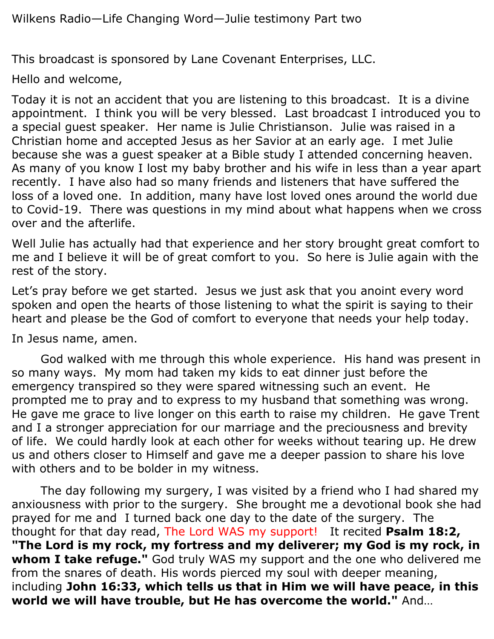This broadcast is sponsored by Lane Covenant Enterprises, LLC.

Hello and welcome,

Today it is not an accident that you are listening to this broadcast. It is a divine appointment. I think you will be very blessed. Last broadcast I introduced you to a special guest speaker. Her name is Julie Christianson. Julie was raised in a Christian home and accepted Jesus as her Savior at an early age. I met Julie because she was a guest speaker at a Bible study I attended concerning heaven. As many of you know I lost my baby brother and his wife in less than a year apart recently. I have also had so many friends and listeners that have suffered the loss of a loved one. In addition, many have lost loved ones around the world due to Covid-19. There was questions in my mind about what happens when we cross over and the afterlife.

Well Julie has actually had that experience and her story brought great comfort to me and I believe it will be of great comfort to you. So here is Julie again with the rest of the story.

Let's pray before we get started. Jesus we just ask that you anoint every word spoken and open the hearts of those listening to what the spirit is saying to their heart and please be the God of comfort to everyone that needs your help today.

In Jesus name, amen.

God walked with me through this whole experience. His hand was present in so many ways. My mom had taken my kids to eat dinner just before the emergency transpired so they were spared witnessing such an event. He prompted me to pray and to express to my husband that something was wrong. He gave me grace to live longer on this earth to raise my children. He gave Trent and I a stronger appreciation for our marriage and the preciousness and brevity of life. We could hardly look at each other for weeks without tearing up. He drew us and others closer to Himself and gave me a deeper passion to share his love with others and to be bolder in my witness.

The day following my surgery, I was visited by a friend who I had shared my anxiousness with prior to the surgery. She brought me a devotional book she had prayed for me and I turned back one day to the date of the surgery. The thought for that day read, The Lord WAS my support! It recited **Psalm 18:2, "The Lord is my rock, my fortress and my deliverer; my God is my rock, in whom I take refuge."** God truly WAS my support and the one who delivered me from the snares of death. His words pierced my soul with deeper meaning, including **John 16:33, which tells us that in Him we will have peace, in this world we will have trouble, but He has overcome the world."** And…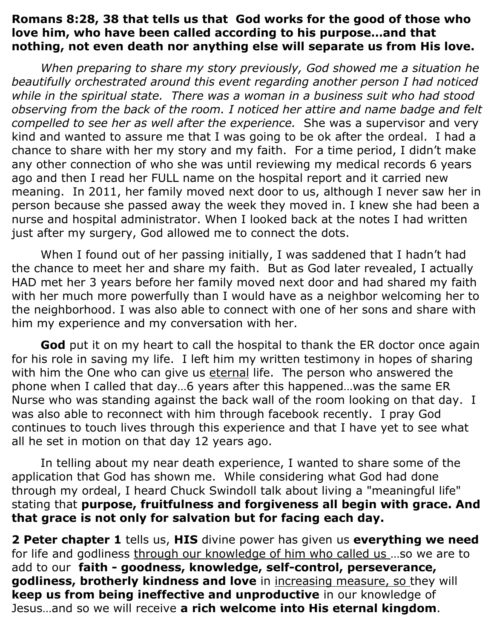## **Romans 8:28, 38 that tells us that God works for the good of those who love him, who have been called according to his purpose…and that nothing, not even death nor anything else will separate us from His love.**

*When preparing to share my story previously, God showed me a situation he beautifully orchestrated around this event regarding another person I had noticed while in the spiritual state. There was a woman in a business suit who had stood observing from the back of the room. I noticed her attire and name badge and felt compelled to see her as well after the experience.* She was a supervisor and very kind and wanted to assure me that I was going to be ok after the ordeal. I had a chance to share with her my story and my faith. For a time period, I didn't make any other connection of who she was until reviewing my medical records 6 years ago and then I read her FULL name on the hospital report and it carried new meaning. In 2011, her family moved next door to us, although I never saw her in person because she passed away the week they moved in. I knew she had been a nurse and hospital administrator. When I looked back at the notes I had written just after my surgery, God allowed me to connect the dots.

When I found out of her passing initially, I was saddened that I hadn't had the chance to meet her and share my faith. But as God later revealed, I actually HAD met her 3 years before her family moved next door and had shared my faith with her much more powerfully than I would have as a neighbor welcoming her to the neighborhood. I was also able to connect with one of her sons and share with him my experience and my conversation with her.

**God** put it on my heart to call the hospital to thank the ER doctor once again for his role in saving my life. I left him my written testimony in hopes of sharing with him the One who can give us eternal life. The person who answered the phone when I called that day…6 years after this happened…was the same ER Nurse who was standing against the back wall of the room looking on that day. I was also able to reconnect with him through facebook recently. I pray God continues to touch lives through this experience and that I have yet to see what all he set in motion on that day 12 years ago.

In telling about my near death experience, I wanted to share some of the application that God has shown me. While considering what God had done through my ordeal, I heard Chuck Swindoll talk about living a "meaningful life" stating that **purpose, fruitfulness and forgiveness all begin with grace. And that grace is not only for salvation but for facing each day.**

**2 Peter chapter 1** tells us, **HIS** divine power has given us **everything we need** for life and godliness through our knowledge of him who called us ...so we are to add to our **faith - goodness, knowledge, self-control, perseverance, godliness, brotherly kindness and love** in increasing measure, so they will **keep us from being ineffective and unproductive** in our knowledge of Jesus…and so we will receive **a rich welcome into His eternal kingdom**.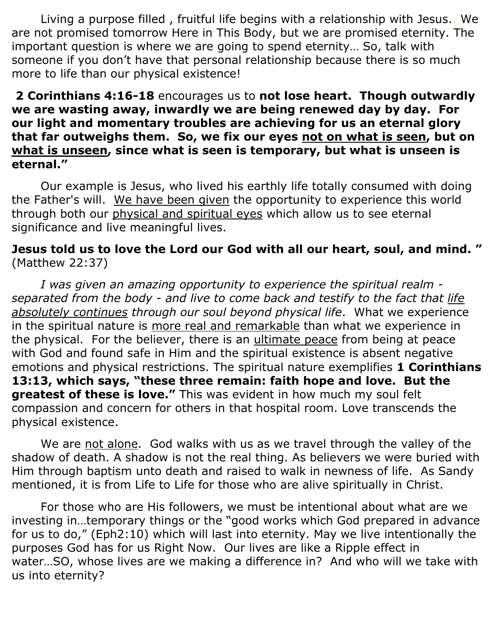Living a purpose filled , fruitful life begins with a relationship with Jesus.. We are not promised tomorrow Here in This Body, but we are promised eternity. The important question is where we are going to spend eternity… So, talk with someone if you don't have that personal relationship because there is so much more to life than our physical existence!

## **2 Corinthians 4:16-18** encourages us to **not lose heart. Though outwardly we are wasting away, inwardly we are being renewed day by day. For our light and momentary troubles are achieving for us an eternal glory that far outweighs them. So, we fix our eyes not on what is seen, but on what is unseen, since what is seen is temporary, but what is unseen is eternal."**

Our example is Jesus, who lived his earthly life totally consumed with doing the Father's will. We have been given the opportunity to experience this world through both our physical and spiritual eyes which allow us to see eternal significance and live meaningful lives.

## **Jesus told us to love the Lord our God with all our heart, soul, and mind. "**  (Matthew 22:37)

*I was given an amazing opportunity to experience the spiritual realm separated from the body - and live to come back and testify to the fact that life absolutely continues through our soul beyond physical life*. What we experience in the spiritual nature is more real and remarkable than what we experience in the physical. For the believer, there is an ultimate peace from being at peace with God and found safe in Him and the spiritual existence is absent negative emotions and physical restrictions. The spiritual nature exemplifies **1 Corinthians 13:13, which says, "these three remain: faith hope and love. But the greatest of these is love."** This was evident in how much my soul felt compassion and concern for others in that hospital room. Love transcends the physical existence.

We are not alone. God walks with us as we travel through the valley of the shadow of death. A shadow is not the real thing. As believers we were buried with Him through baptism unto death and raised to walk in newness of life. As Sandy mentioned, it is from Life to Life for those who are alive spiritually in Christ.

For those who are His followers, we must be intentional about what are we investing in…temporary things or the "good works which God prepared in advance for us to do," (Eph2:10) which will last into eternity. May we live intentionally the purposes God has for us Right Now. Our lives are like a Ripple effect in water…SO, whose lives are we making a difference in? And who will we take with us into eternity?